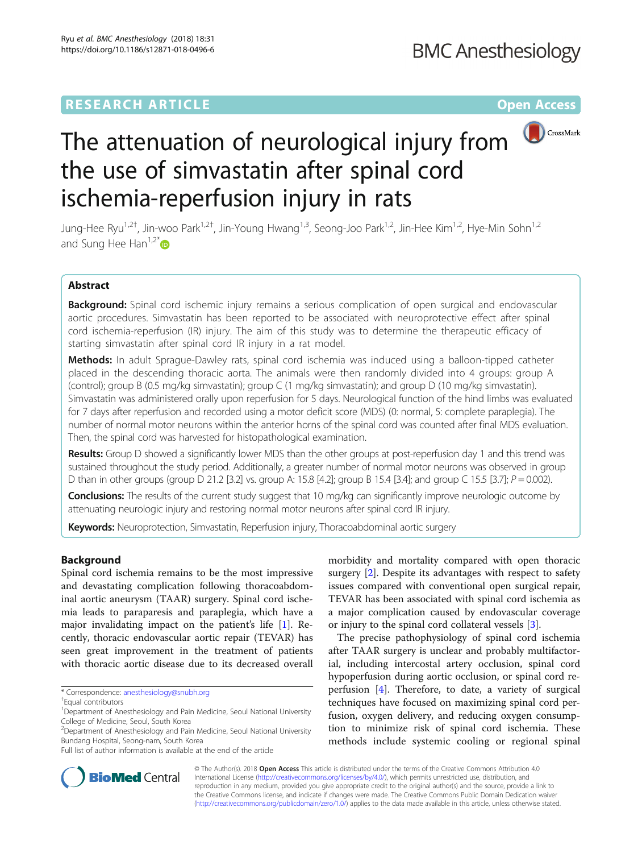## **RESEARCH ARTICLE Example 2014 12:30 The Contract of Contract ACCESS**



# The attenuation of neurological injury from the use of simvastatin after spinal cord ischemia-reperfusion injury in rats

Jung-Hee Ryu<sup>1,2†</sup>, Jin-woo Park<sup>1,2†</sup>, Jin-Young Hwang<sup>1,3</sup>, Seong-Joo Park<sup>1,2</sup>, Jin-Hee Kim<sup>1,2</sup>, Hye-Min Sohn<sup>1,2</sup> and Sung Hee Han<sup>1,2\*</sup> $\bullet$ 

#### Abstract

**Background:** Spinal cord ischemic injury remains a serious complication of open surgical and endovascular aortic procedures. Simvastatin has been reported to be associated with neuroprotective effect after spinal cord ischemia-reperfusion (IR) injury. The aim of this study was to determine the therapeutic efficacy of starting simvastatin after spinal cord IR injury in a rat model.

Methods: In adult Sprague-Dawley rats, spinal cord ischemia was induced using a balloon-tipped catheter placed in the descending thoracic aorta. The animals were then randomly divided into 4 groups: group A (control); group B (0.5 mg/kg simvastatin); group C (1 mg/kg simvastatin); and group D (10 mg/kg simvastatin). Simvastatin was administered orally upon reperfusion for 5 days. Neurological function of the hind limbs was evaluated for 7 days after reperfusion and recorded using a motor deficit score (MDS) (0: normal, 5: complete paraplegia). The number of normal motor neurons within the anterior horns of the spinal cord was counted after final MDS evaluation. Then, the spinal cord was harvested for histopathological examination.

Results: Group D showed a significantly lower MDS than the other groups at post-reperfusion day 1 and this trend was sustained throughout the study period. Additionally, a greater number of normal motor neurons was observed in group D than in other groups (group D 21.2 [3.2] vs. group A: 15.8 [4.2]; group B 15.4 [3.4]; and group C 15.5 [3.7];  $P = 0.002$ ).

**Conclusions:** The results of the current study suggest that 10 mg/kg can significantly improve neurologic outcome by attenuating neurologic injury and restoring normal motor neurons after spinal cord IR injury.

Keywords: Neuroprotection, Simvastatin, Reperfusion injury, Thoracoabdominal aortic surgery

#### Background

Spinal cord ischemia remains to be the most impressive and devastating complication following thoracoabdominal aortic aneurysm (TAAR) surgery. Spinal cord ischemia leads to paraparesis and paraplegia, which have a major invalidating impact on the patient's life [[1](#page-5-0)]. Recently, thoracic endovascular aortic repair (TEVAR) has seen great improvement in the treatment of patients with thoracic aortic disease due to its decreased overall

\* Correspondence: [anesthesiology@snubh.org](mailto:anesthesiology@snubh.org) †

morbidity and mortality compared with open thoracic surgery [\[2](#page-5-0)]. Despite its advantages with respect to safety issues compared with conventional open surgical repair, TEVAR has been associated with spinal cord ischemia as a major complication caused by endovascular coverage or injury to the spinal cord collateral vessels [[3\]](#page-5-0).

The precise pathophysiology of spinal cord ischemia after TAAR surgery is unclear and probably multifactorial, including intercostal artery occlusion, spinal cord hypoperfusion during aortic occlusion, or spinal cord reperfusion [\[4](#page-5-0)]. Therefore, to date, a variety of surgical techniques have focused on maximizing spinal cord perfusion, oxygen delivery, and reducing oxygen consumption to minimize risk of spinal cord ischemia. These methods include systemic cooling or regional spinal



© The Author(s). 2018 Open Access This article is distributed under the terms of the Creative Commons Attribution 4.0 International License [\(http://creativecommons.org/licenses/by/4.0/](http://creativecommons.org/licenses/by/4.0/)), which permits unrestricted use, distribution, and reproduction in any medium, provided you give appropriate credit to the original author(s) and the source, provide a link to the Creative Commons license, and indicate if changes were made. The Creative Commons Public Domain Dedication waiver [\(http://creativecommons.org/publicdomain/zero/1.0/](http://creativecommons.org/publicdomain/zero/1.0/)) applies to the data made available in this article, unless otherwise stated.

Equal contributors

<sup>&</sup>lt;sup>1</sup>Department of Anesthesiology and Pain Medicine, Seoul National University College of Medicine, Seoul, South Korea

<sup>&</sup>lt;sup>2</sup>Department of Anesthesiology and Pain Medicine, Seoul National University Bundang Hospital, Seong-nam, South Korea

Full list of author information is available at the end of the article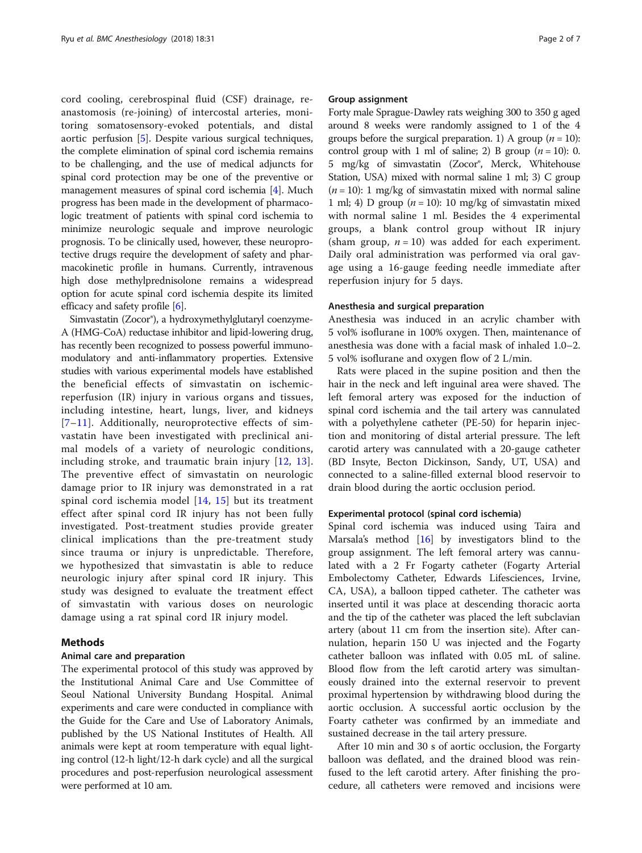cord cooling, cerebrospinal fluid (CSF) drainage, reanastomosis (re-joining) of intercostal arteries, monitoring somatosensory-evoked potentials, and distal aortic perfusion [\[5\]](#page-5-0). Despite various surgical techniques, the complete elimination of spinal cord ischemia remains to be challenging, and the use of medical adjuncts for spinal cord protection may be one of the preventive or management measures of spinal cord ischemia [\[4](#page-5-0)]. Much progress has been made in the development of pharmacologic treatment of patients with spinal cord ischemia to minimize neurologic sequale and improve neurologic prognosis. To be clinically used, however, these neuroprotective drugs require the development of safety and pharmacokinetic profile in humans. Currently, intravenous high dose methylprednisolone remains a widespread option for acute spinal cord ischemia despite its limited efficacy and safety profile [[6\]](#page-5-0).

Simvastatin (Zocor®), a hydroxymethylglutaryl coenzyme-A (HMG-CoA) reductase inhibitor and lipid-lowering drug, has recently been recognized to possess powerful immunomodulatory and anti-inflammatory properties. Extensive studies with various experimental models have established the beneficial effects of simvastatin on ischemicreperfusion (IR) injury in various organs and tissues, including intestine, heart, lungs, liver, and kidneys [[7](#page-5-0)–[11](#page-5-0)]. Additionally, neuroprotective effects of simvastatin have been investigated with preclinical animal models of a variety of neurologic conditions, including stroke, and traumatic brain injury [[12](#page-5-0), [13](#page-5-0)]. The preventive effect of simvastatin on neurologic damage prior to IR injury was demonstrated in a rat spinal cord ischemia model [[14](#page-5-0), [15\]](#page-5-0) but its treatment effect after spinal cord IR injury has not been fully investigated. Post-treatment studies provide greater clinical implications than the pre-treatment study since trauma or injury is unpredictable. Therefore, we hypothesized that simvastatin is able to reduce neurologic injury after spinal cord IR injury. This study was designed to evaluate the treatment effect of simvastatin with various doses on neurologic damage using a rat spinal cord IR injury model.

#### Methods

#### Animal care and preparation

The experimental protocol of this study was approved by the Institutional Animal Care and Use Committee of Seoul National University Bundang Hospital. Animal experiments and care were conducted in compliance with the Guide for the Care and Use of Laboratory Animals, published by the US National Institutes of Health. All animals were kept at room temperature with equal lighting control (12-h light/12-h dark cycle) and all the surgical procedures and post-reperfusion neurological assessment were performed at 10 am.

#### Group assignment

Forty male Sprague-Dawley rats weighing 300 to 350 g aged around 8 weeks were randomly assigned to 1 of the 4 groups before the surgical preparation. 1) A group  $(n = 10)$ : control group with 1 ml of saline; 2) B group  $(n = 10)$ : 0. 5 mg/kg of simvastatin (Zocor®, Merck, Whitehouse Station, USA) mixed with normal saline 1 ml; 3) C group  $(n = 10)$ : 1 mg/kg of simvastatin mixed with normal saline 1 ml; 4) D group ( $n = 10$ ): 10 mg/kg of simvastatin mixed with normal saline 1 ml. Besides the 4 experimental groups, a blank control group without IR injury (sham group,  $n = 10$ ) was added for each experiment. Daily oral administration was performed via oral gavage using a 16-gauge feeding needle immediate after reperfusion injury for 5 days.

#### Anesthesia and surgical preparation

Anesthesia was induced in an acrylic chamber with 5 vol% isoflurane in 100% oxygen. Then, maintenance of anesthesia was done with a facial mask of inhaled 1.0–2. 5 vol% isoflurane and oxygen flow of 2 L/min.

Rats were placed in the supine position and then the hair in the neck and left inguinal area were shaved. The left femoral artery was exposed for the induction of spinal cord ischemia and the tail artery was cannulated with a polyethylene catheter (PE-50) for heparin injection and monitoring of distal arterial pressure. The left carotid artery was cannulated with a 20-gauge catheter (BD Insyte, Becton Dickinson, Sandy, UT, USA) and connected to a saline-filled external blood reservoir to drain blood during the aortic occlusion period.

#### Experimental protocol (spinal cord ischemia)

Spinal cord ischemia was induced using Taira and Marsala's method  $[16]$  $[16]$  $[16]$  by investigators blind to the group assignment. The left femoral artery was cannulated with a 2 Fr Fogarty catheter (Fogarty Arterial Embolectomy Catheter, Edwards Lifesciences, Irvine, CA, USA), a balloon tipped catheter. The catheter was inserted until it was place at descending thoracic aorta and the tip of the catheter was placed the left subclavian artery (about 11 cm from the insertion site). After cannulation, heparin 150 U was injected and the Fogarty catheter balloon was inflated with 0.05 mL of saline. Blood flow from the left carotid artery was simultaneously drained into the external reservoir to prevent proximal hypertension by withdrawing blood during the aortic occlusion. A successful aortic occlusion by the Foarty catheter was confirmed by an immediate and sustained decrease in the tail artery pressure.

After 10 min and 30 s of aortic occlusion, the Forgarty balloon was deflated, and the drained blood was reinfused to the left carotid artery. After finishing the procedure, all catheters were removed and incisions were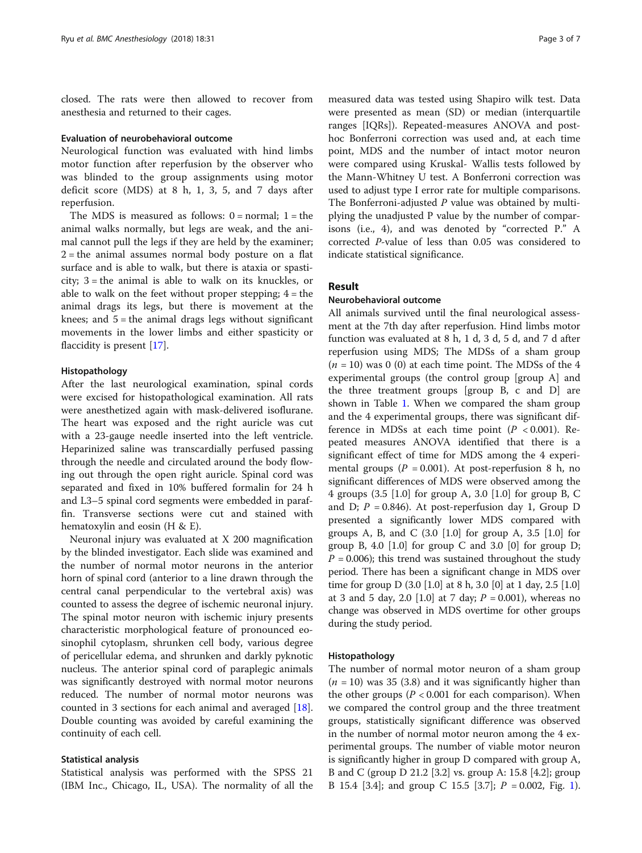closed. The rats were then allowed to recover from anesthesia and returned to their cages.

#### Evaluation of neurobehavioral outcome

Neurological function was evaluated with hind limbs motor function after reperfusion by the observer who was blinded to the group assignments using motor deficit score (MDS) at 8 h, 1, 3, 5, and 7 days after reperfusion.

The MDS is measured as follows:  $0 = normal$ ;  $1 = the$ animal walks normally, but legs are weak, and the animal cannot pull the legs if they are held by the examiner;  $2$  = the animal assumes normal body posture on a flat surface and is able to walk, but there is ataxia or spasticity; 3 = the animal is able to walk on its knuckles, or able to walk on the feet without proper stepping;  $4 =$  the animal drags its legs, but there is movement at the knees; and  $5 =$  the animal drags legs without significant movements in the lower limbs and either spasticity or flaccidity is present [[17](#page-5-0)].

#### Histopathology

After the last neurological examination, spinal cords were excised for histopathological examination. All rats were anesthetized again with mask-delivered isoflurane. The heart was exposed and the right auricle was cut with a 23-gauge needle inserted into the left ventricle. Heparinized saline was transcardially perfused passing through the needle and circulated around the body flowing out through the open right auricle. Spinal cord was separated and fixed in 10% buffered formalin for 24 h and L3–5 spinal cord segments were embedded in paraffin. Transverse sections were cut and stained with hematoxylin and eosin (H & E).

Neuronal injury was evaluated at X 200 magnification by the blinded investigator. Each slide was examined and the number of normal motor neurons in the anterior horn of spinal cord (anterior to a line drawn through the central canal perpendicular to the vertebral axis) was counted to assess the degree of ischemic neuronal injury. The spinal motor neuron with ischemic injury presents characteristic morphological feature of pronounced eosinophil cytoplasm, shrunken cell body, various degree of pericellular edema, and shrunken and darkly pyknotic nucleus. The anterior spinal cord of paraplegic animals was significantly destroyed with normal motor neurons reduced. The number of normal motor neurons was counted in 3 sections for each animal and averaged [\[18](#page-5-0)]. Double counting was avoided by careful examining the continuity of each cell.

#### Statistical analysis

Statistical analysis was performed with the SPSS 21 (IBM Inc., Chicago, IL, USA). The normality of all the

measured data was tested using Shapiro wilk test. Data were presented as mean (SD) or median (interquartile ranges [IQRs]). Repeated-measures ANOVA and posthoc Bonferroni correction was used and, at each time point, MDS and the number of intact motor neuron were compared using Kruskal- Wallis tests followed by the Mann-Whitney U test. A Bonferroni correction was used to adjust type I error rate for multiple comparisons. The Bonferroni-adjusted  $P$  value was obtained by multiplying the unadjusted P value by the number of comparisons (i.e., 4), and was denoted by "corrected P." A corrected P-value of less than 0.05 was considered to indicate statistical significance.

#### Result

#### Neurobehavioral outcome

All animals survived until the final neurological assessment at the 7th day after reperfusion. Hind limbs motor function was evaluated at 8 h, 1 d, 3 d, 5 d, and 7 d after reperfusion using MDS; The MDSs of a sham group  $(n = 10)$  was 0 (0) at each time point. The MDSs of the 4 experimental groups (the control group [group A] and the three treatment groups [group B, c and D] are shown in Table [1.](#page-3-0) When we compared the sham group and the 4 experimental groups, there was significant difference in MDSs at each time point  $(P < 0.001)$ . Repeated measures ANOVA identified that there is a significant effect of time for MDS among the 4 experimental groups ( $P = 0.001$ ). At post-reperfusion 8 h, no significant differences of MDS were observed among the 4 groups (3.5 [1.0] for group A, 3.0 [1.0] for group B, C and D;  $P = 0.846$ ). At post-reperfusion day 1, Group D presented a significantly lower MDS compared with groups A, B, and C  $(3.0 \, [1.0]$  for group A, 3.5  $[1.0]$  for group B, 4.0  $[1.0]$  for group C and 3.0  $[0]$  for group D;  $P = 0.006$ ; this trend was sustained throughout the study period. There has been a significant change in MDS over time for group D (3.0 [1.0] at 8 h, 3.0 [0] at 1 day, 2.5 [1.0] at 3 and 5 day, 2.0 [1.0] at 7 day;  $P = 0.001$ ), whereas no change was observed in MDS overtime for other groups during the study period.

#### Histopathology

The number of normal motor neuron of a sham group  $(n = 10)$  was 35 (3.8) and it was significantly higher than the other groups ( $P < 0.001$  for each comparison). When we compared the control group and the three treatment groups, statistically significant difference was observed in the number of normal motor neuron among the 4 experimental groups. The number of viable motor neuron is significantly higher in group D compared with group A, B and C (group D 21.2 [3.2] vs. group A: 15.8 [4.2]; group B [1](#page-3-0)5.4 [3.4]; and group C 15.5 [3.7];  $P = 0.002$ , Fig. 1).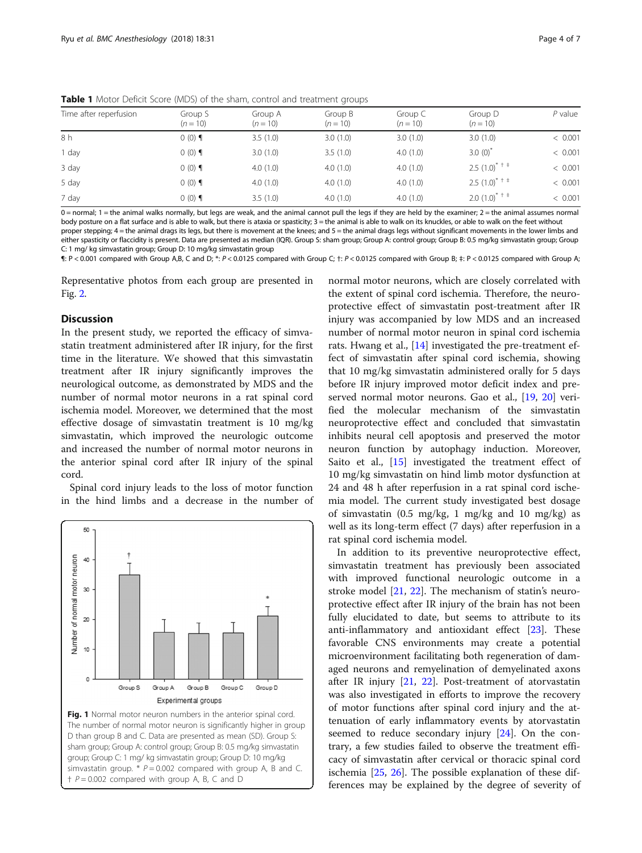<span id="page-3-0"></span>**Table 1** Motor Deficit Score (MDS) of the sham, control and treatment groups

| Time after reperfusion | Group S<br>$(n = 10)$ | Group A<br>$(n = 10)$ | Group B<br>$(n = 10)$ | Group C<br>$(n = 10)$ | Group D<br>$(n = 10)$            | $P$ value |
|------------------------|-----------------------|-----------------------|-----------------------|-----------------------|----------------------------------|-----------|
| 8 h                    | $(0)$ (0) $\P$        | 3.5(1.0)              | 3.0(1.0)              | 3.0(1.0)              | 3.0(1.0)                         | < 0.001   |
| 1 day                  | $(0)$ (0) $\P$        | 3.0(1.0)              | 3.5(1.0)              | 4.0(1.0)              | $3.0(0)^{*}$                     | < 0.001   |
| 3 day                  | $(0)$ 0               | 4.0(1.0)              | 4.0(1.0)              | 4.0(1.0)              | $2.5$ $(1.0)^*$ <sup>+ ‡</sup>   | < 0.001   |
| 5 day                  | $(0)$ (0) $\P$        | 4.0(1.0)              | 4.0(1.0)              | 4.0(1.0)              | $2.5$ $(1.0)^{*}$ <sup>+ +</sup> | < 0.001   |
| 7 day                  | $(0)$ (0) $\P$        | 3.5(1.0)              | 4.0(1.0)              | 4.0(1.0)              | $2.0(1.0)^{*+1}$                 | < 0.001   |

0 = normal; 1 = the animal walks normally, but legs are weak, and the animal cannot pull the legs if they are held by the examiner; 2 = the animal assumes normal body posture on a flat surface and is able to walk, but there is ataxia or spasticity;  $3 =$  the animal is able to walk on its knuckles, or able to walk on the feet without proper stepping; 4 = the animal drags its legs, but there is movement at the knees; and 5 = the animal drags legs without significant movements in the lower limbs and either spasticity or flaccidity is present. Data are presented as median (IQR). Group S: sham group; Group A: control group; Group B: 0.5 mg/kg simvastatin group; Group

C: 1 mg/ kg simvastatin group; Group D: 10 mg/kg simvastatin group

¶: P < 0.001 compared with Group A,B, C and D; \*: P < 0.0125 compared with Group C; †: P < 0.0125 compared with Group B; ‡: P < 0.0125 compared with Group A;

Representative photos from each group are presented in Fig. [2](#page-4-0).

#### **Discussion**

In the present study, we reported the efficacy of simvastatin treatment administered after IR injury, for the first time in the literature. We showed that this simvastatin treatment after IR injury significantly improves the neurological outcome, as demonstrated by MDS and the number of normal motor neurons in a rat spinal cord ischemia model. Moreover, we determined that the most effective dosage of simvastatin treatment is 10 mg/kg simvastatin, which improved the neurologic outcome and increased the number of normal motor neurons in the anterior spinal cord after IR injury of the spinal cord.

Spinal cord injury leads to the loss of motor function in the hind limbs and a decrease in the number of



normal motor neurons, which are closely correlated with the extent of spinal cord ischemia. Therefore, the neuroprotective effect of simvastatin post-treatment after IR injury was accompanied by low MDS and an increased number of normal motor neuron in spinal cord ischemia rats. Hwang et al., [[14\]](#page-5-0) investigated the pre-treatment effect of simvastatin after spinal cord ischemia, showing that 10 mg/kg simvastatin administered orally for 5 days before IR injury improved motor deficit index and preserved normal motor neurons. Gao et al., [\[19,](#page-5-0) [20\]](#page-5-0) verified the molecular mechanism of the simvastatin neuroprotective effect and concluded that simvastatin inhibits neural cell apoptosis and preserved the motor neuron function by autophagy induction. Moreover, Saito et al., [[15\]](#page-5-0) investigated the treatment effect of 10 mg/kg simvastatin on hind limb motor dysfunction at 24 and 48 h after reperfusion in a rat spinal cord ischemia model. The current study investigated best dosage of simvastatin (0.5 mg/kg, 1 mg/kg and 10 mg/kg) as well as its long-term effect (7 days) after reperfusion in a rat spinal cord ischemia model.

In addition to its preventive neuroprotective effect, simvastatin treatment has previously been associated with improved functional neurologic outcome in a stroke model [\[21](#page-5-0), [22](#page-5-0)]. The mechanism of statin's neuroprotective effect after IR injury of the brain has not been fully elucidated to date, but seems to attribute to its anti-inflammatory and antioxidant effect [\[23](#page-5-0)]. These favorable CNS environments may create a potential microenvironment facilitating both regeneration of damaged neurons and remyelination of demyelinated axons after IR injury [\[21](#page-5-0), [22](#page-5-0)]. Post-treatment of atorvastatin was also investigated in efforts to improve the recovery of motor functions after spinal cord injury and the attenuation of early inflammatory events by atorvastatin seemed to reduce secondary injury [[24\]](#page-5-0). On the contrary, a few studies failed to observe the treatment efficacy of simvastatin after cervical or thoracic spinal cord ischemia [\[25,](#page-5-0) [26](#page-5-0)]. The possible explanation of these differences may be explained by the degree of severity of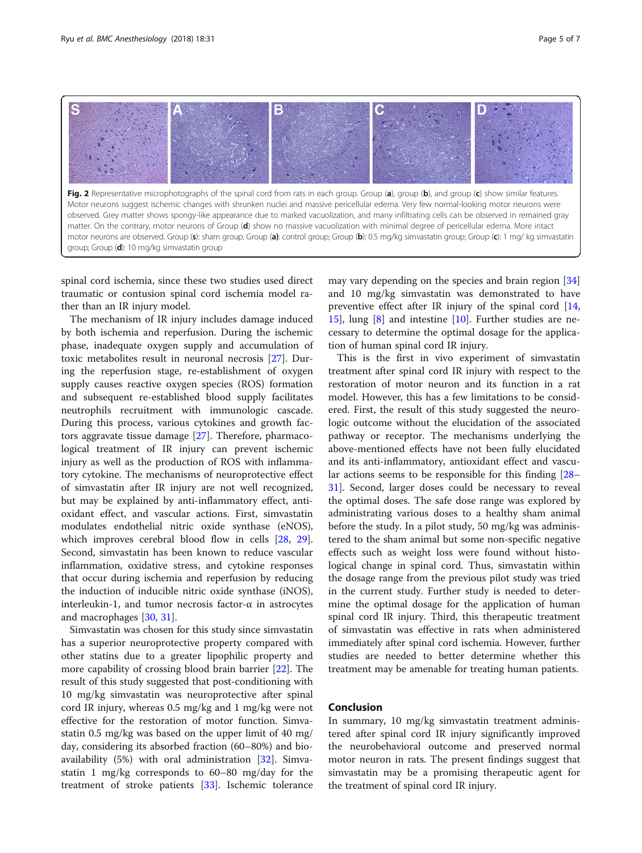<span id="page-4-0"></span>

spinal cord ischemia, since these two studies used direct traumatic or contusion spinal cord ischemia model rather than an IR injury model.

The mechanism of IR injury includes damage induced by both ischemia and reperfusion. During the ischemic phase, inadequate oxygen supply and accumulation of toxic metabolites result in neuronal necrosis [[27\]](#page-5-0). During the reperfusion stage, re-establishment of oxygen supply causes reactive oxygen species (ROS) formation and subsequent re-established blood supply facilitates neutrophils recruitment with immunologic cascade. During this process, various cytokines and growth factors aggravate tissue damage [[27\]](#page-5-0). Therefore, pharmacological treatment of IR injury can prevent ischemic injury as well as the production of ROS with inflammatory cytokine. The mechanisms of neuroprotective effect of simvastatin after IR injury are not well recognized, but may be explained by anti-inflammatory effect, antioxidant effect, and vascular actions. First, simvastatin modulates endothelial nitric oxide synthase (eNOS), which improves cerebral blood flow in cells [\[28,](#page-5-0) [29](#page-6-0)]. Second, simvastatin has been known to reduce vascular inflammation, oxidative stress, and cytokine responses that occur during ischemia and reperfusion by reducing the induction of inducible nitric oxide synthase (iNOS), interleukin-1, and tumor necrosis factor-α in astrocytes and macrophages [\[30](#page-6-0), [31](#page-6-0)].

Simvastatin was chosen for this study since simvastatin has a superior neuroprotective property compared with other statins due to a greater lipophilic property and more capability of crossing blood brain barrier [\[22\]](#page-5-0). The result of this study suggested that post-conditioning with 10 mg/kg simvastatin was neuroprotective after spinal cord IR injury, whereas 0.5 mg/kg and 1 mg/kg were not effective for the restoration of motor function. Simvastatin 0.5 mg/kg was based on the upper limit of 40 mg/ day, considering its absorbed fraction (60–80%) and bioavailability (5%) with oral administration [[32\]](#page-6-0). Simvastatin 1 mg/kg corresponds to 60–80 mg/day for the treatment of stroke patients [\[33](#page-6-0)]. Ischemic tolerance

may vary depending on the species and brain region [[34](#page-6-0)] and 10 mg/kg simvastatin was demonstrated to have preventive effect after IR injury of the spinal cord [[14](#page-5-0), [15\]](#page-5-0), lung [\[8](#page-5-0)] and intestine [\[10](#page-5-0)]. Further studies are necessary to determine the optimal dosage for the application of human spinal cord IR injury.

This is the first in vivo experiment of simvastatin treatment after spinal cord IR injury with respect to the restoration of motor neuron and its function in a rat model. However, this has a few limitations to be considered. First, the result of this study suggested the neurologic outcome without the elucidation of the associated pathway or receptor. The mechanisms underlying the above-mentioned effects have not been fully elucidated and its anti-inflammatory, antioxidant effect and vascular actions seems to be responsible for this finding [[28](#page-5-0)– [31\]](#page-6-0). Second, larger doses could be necessary to reveal the optimal doses. The safe dose range was explored by administrating various doses to a healthy sham animal before the study. In a pilot study, 50 mg/kg was administered to the sham animal but some non-specific negative effects such as weight loss were found without histological change in spinal cord. Thus, simvastatin within the dosage range from the previous pilot study was tried in the current study. Further study is needed to determine the optimal dosage for the application of human spinal cord IR injury. Third, this therapeutic treatment of simvastatin was effective in rats when administered immediately after spinal cord ischemia. However, further studies are needed to better determine whether this treatment may be amenable for treating human patients.

#### Conclusion

In summary, 10 mg/kg simvastatin treatment administered after spinal cord IR injury significantly improved the neurobehavioral outcome and preserved normal motor neuron in rats. The present findings suggest that simvastatin may be a promising therapeutic agent for the treatment of spinal cord IR injury.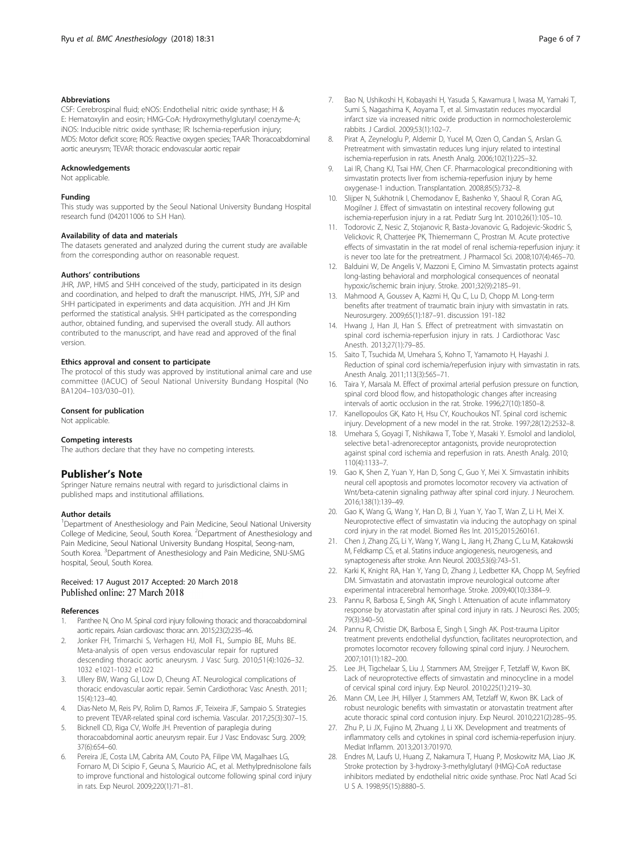#### <span id="page-5-0"></span>Abbreviations

CSF: Cerebrospinal fluid; eNOS: Endothelial nitric oxide synthase; H & E: Hematoxylin and eosin; HMG-CoA: Hydroxymethylglutaryl coenzyme-A; iNOS: Inducible nitric oxide synthase; IR: Ischemia-reperfusion injury; MDS: Motor deficit score; ROS: Reactive oxygen species; TAAR: Thoracoabdominal aortic aneurysm; TEVAR: thoracic endovascular aortic repair

#### Acknowledgements

Not applicable.

#### Funding

This study was supported by the Seoul National University Bundang Hospital research fund (042011006 to S.H Han).

#### Availability of data and materials

The datasets generated and analyzed during the current study are available from the corresponding author on reasonable request.

#### Authors' contributions

JHR, JWP, HMS and SHH conceived of the study, participated in its design and coordination, and helped to draft the manuscript. HMS, JYH, SJP and SHH participated in experiments and data acquisition. JYH and JH Kim performed the statistical analysis. SHH participated as the corresponding author, obtained funding, and supervised the overall study. All authors contributed to the manuscript, and have read and approved of the final version.

#### Ethics approval and consent to participate

The protocol of this study was approved by institutional animal care and use committee (IACUC) of Seoul National University Bundang Hospital (No BA1204–103/030–01).

#### Consent for publication

Not applicable.

#### Competing interests

The authors declare that they have no competing interests.

#### Publisher's Note

Springer Nature remains neutral with regard to jurisdictional claims in published maps and institutional affiliations.

#### Author details

<sup>1</sup>Department of Anesthesiology and Pain Medicine, Seoul National University College of Medicine, Seoul, South Korea. <sup>2</sup>Department of Anesthesiology and Pain Medicine, Seoul National University Bundang Hospital, Seong-nam, South Korea. <sup>3</sup>Department of Anesthesiology and Pain Medicine, SNU-SMG hospital, Seoul, South Korea.

#### Received: 17 August 2017 Accepted: 20 March 2018 Published online: 27 March 2018

#### References

- 1. Panthee N, Ono M. Spinal cord injury following thoracic and thoracoabdominal aortic repairs. Asian cardiovasc thorac ann. 2015;23(2):235–46.
- Jonker FH, Trimarchi S, Verhagen HJ, Moll FL, Sumpio BE, Muhs BE. Meta-analysis of open versus endovascular repair for ruptured descending thoracic aortic aneurysm. J Vasc Surg. 2010;51(4):1026–32. 1032 e1021-1032 e1022
- Ullery BW, Wang GJ, Low D, Cheung AT. Neurological complications of thoracic endovascular aortic repair. Semin Cardiothorac Vasc Anesth. 2011; 15(4):123–40.
- 4. Dias-Neto M, Reis PV, Rolim D, Ramos JF, Teixeira JF, Sampaio S. Strategies to prevent TEVAR-related spinal cord ischemia. Vascular. 2017;25(3):307–15.
- 5. Bicknell CD, Riga CV, Wolfe JH. Prevention of paraplegia during thoracoabdominal aortic aneurysm repair. Eur J Vasc Endovasc Surg. 2009; 37(6):654–60.
- Pereira JE, Costa LM, Cabrita AM, Couto PA, Filipe VM, Magalhaes LG, Fornaro M, Di Scipio F, Geuna S, Mauricio AC, et al. Methylprednisolone fails to improve functional and histological outcome following spinal cord injury in rats. Exp Neurol. 2009;220(1):71–81.
- 7. Bao N, Ushikoshi H, Kobayashi H, Yasuda S, Kawamura I, Iwasa M, Yamaki T, Sumi S, Nagashima K, Aoyama T, et al. Simvastatin reduces myocardial infarct size via increased nitric oxide production in normocholesterolemic rabbits. J Cardiol. 2009;53(1):102–7.
- 8. Pirat A, Zeyneloglu P, Aldemir D, Yucel M, Ozen O, Candan S, Arslan G. Pretreatment with simvastatin reduces lung injury related to intestinal ischemia-reperfusion in rats. Anesth Analg. 2006;102(1):225–32.
- 9. Lai IR, Chang KJ, Tsai HW, Chen CF. Pharmacological preconditioning with simvastatin protects liver from ischemia-reperfusion injury by heme oxygenase-1 induction. Transplantation. 2008;85(5):732–8.
- 10. Slijper N, Sukhotnik I, Chemodanov E, Bashenko Y, Shaoul R, Coran AG, Mogilner J. Effect of simvastatin on intestinal recovery following gut ischemia-reperfusion injury in a rat. Pediatr Surg Int. 2010;26(1):105–10.
- 11. Todorovic Z, Nesic Z, Stojanovic R, Basta-Jovanovic G, Radojevic-Skodric S, Velickovic R, Chatterjee PK, Thiemermann C, Prostran M. Acute protective effects of simvastatin in the rat model of renal ischemia-reperfusion injury: it is never too late for the pretreatment. J Pharmacol Sci. 2008;107(4):465–70.
- 12. Balduini W, De Angelis V, Mazzoni E, Cimino M. Simvastatin protects against long-lasting behavioral and morphological consequences of neonatal hypoxic/ischemic brain injury. Stroke. 2001;32(9):2185–91.
- 13. Mahmood A, Goussev A, Kazmi H, Qu C, Lu D, Chopp M. Long-term benefits after treatment of traumatic brain injury with simvastatin in rats. Neurosurgery. 2009;65(1):187–91. discussion 191-182
- 14. Hwang J, Han JI, Han S. Effect of pretreatment with simvastatin on spinal cord ischemia-reperfusion injury in rats. J Cardiothorac Vasc Anesth. 2013;27(1):79–85.
- 15. Saito T, Tsuchida M, Umehara S, Kohno T, Yamamoto H, Hayashi J. Reduction of spinal cord ischemia/reperfusion injury with simvastatin in rats. Anesth Analg. 2011;113(3):565–71.
- 16. Taira Y, Marsala M. Effect of proximal arterial perfusion pressure on function, spinal cord blood flow, and histopathologic changes after increasing intervals of aortic occlusion in the rat. Stroke. 1996;27(10):1850–8.
- 17. Kanellopoulos GK, Kato H, Hsu CY, Kouchoukos NT. Spinal cord ischemic injury. Development of a new model in the rat. Stroke. 1997;28(12):2532–8.
- 18. Umehara S, Goyagi T, Nishikawa T, Tobe Y, Masaki Y. Esmolol and landiolol, selective beta1-adrenoreceptor antagonists, provide neuroprotection against spinal cord ischemia and reperfusion in rats. Anesth Analg. 2010; 110(4):1133–7.
- 19. Gao K, Shen Z, Yuan Y, Han D, Song C, Guo Y, Mei X. Simvastatin inhibits neural cell apoptosis and promotes locomotor recovery via activation of Wnt/beta-catenin signaling pathway after spinal cord injury. J Neurochem. 2016;138(1):139–49.
- 20. Gao K, Wang G, Wang Y, Han D, Bi J, Yuan Y, Yao T, Wan Z, Li H, Mei X. Neuroprotective effect of simvastatin via inducing the autophagy on spinal cord injury in the rat model. Biomed Res Int. 2015;2015:260161.
- 21. Chen J, Zhang ZG, Li Y, Wang Y, Wang L, Jiang H, Zhang C, Lu M, Katakowski M, Feldkamp CS, et al. Statins induce angiogenesis, neurogenesis, and synaptogenesis after stroke. Ann Neurol. 2003;53(6):743–51.
- 22. Karki K, Knight RA, Han Y, Yang D, Zhang J, Ledbetter KA, Chopp M, Seyfried DM. Simvastatin and atorvastatin improve neurological outcome after experimental intracerebral hemorrhage. Stroke. 2009;40(10):3384–9.
- 23. Pannu R, Barbosa E, Singh AK, Singh I. Attenuation of acute inflammatory response by atorvastatin after spinal cord injury in rats. J Neurosci Res. 2005; 79(3):340–50.
- 24. Pannu R, Christie DK, Barbosa E, Singh I, Singh AK. Post-trauma Lipitor treatment prevents endothelial dysfunction, facilitates neuroprotection, and promotes locomotor recovery following spinal cord injury. J Neurochem. 2007;101(1):182–200.
- 25. Lee JH, Tigchelaar S, Liu J, Stammers AM, Streijger F, Tetzlaff W, Kwon BK. Lack of neuroprotective effects of simvastatin and minocycline in a model of cervical spinal cord injury. Exp Neurol. 2010;225(1):219–30.
- 26. Mann CM, Lee JH, Hillyer J, Stammers AM, Tetzlaff W, Kwon BK. Lack of robust neurologic benefits with simvastatin or atorvastatin treatment after acute thoracic spinal cord contusion injury. Exp Neurol. 2010;221(2):285–95.
- 27. Zhu P, Li JX, Fujino M, Zhuang J, Li XK. Development and treatments of inflammatory cells and cytokines in spinal cord ischemia-reperfusion injury. Mediat Inflamm. 2013;2013:701970.
- 28. Endres M, Laufs U, Huang Z, Nakamura T, Huang P, Moskowitz MA, Liao JK. Stroke protection by 3-hydroxy-3-methylglutaryl (HMG)-CoA reductase inhibitors mediated by endothelial nitric oxide synthase. Proc Natl Acad Sci U S A. 1998;95(15):8880–5.